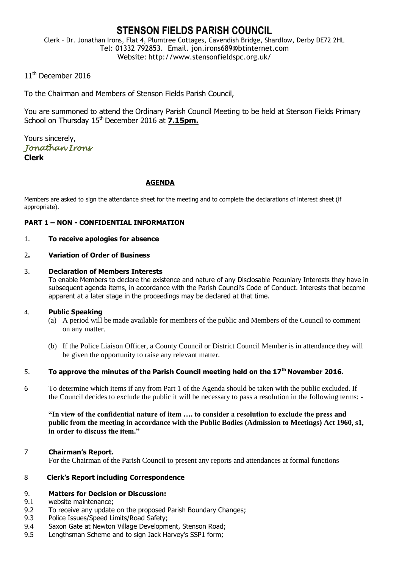# **STENSON FIELDS PARISH COUNCIL**

Clerk – Dr. Jonathan Irons, Flat 4, Plumtree Cottages, Cavendish Bridge, Shardlow, Derby DE72 2HL Tel: 01332 792853. Email. jon.irons689@btinternet.com Website: http://www.stensonfieldspc.org.uk/

11<sup>th</sup> December 2016

To the Chairman and Members of Stenson Fields Parish Council,

You are summoned to attend the Ordinary Parish Council Meeting to be held at Stenson Fields Primary School on Thursday 15<sup>th</sup> December 2016 at 7.15pm.

Yours sincerely, *Jonathan Irons*  **Clerk**

### **AGENDA**

Members are asked to sign the attendance sheet for the meeting and to complete the declarations of interest sheet (if appropriate).

### **PART 1 – NON - CONFIDENTIAL INFORMATION**

### 1. **To receive apologies for absence**

### 2**. Variation of Order of Business**

#### 3. **Declaration of Members Interests**

To enable Members to declare the existence and nature of any Disclosable Pecuniary Interests they have in subsequent agenda items, in accordance with the Parish Council's Code of Conduct. Interests that become apparent at a later stage in the proceedings may be declared at that time.

### 4. **Public Speaking**

- (a) A period will be made available for members of the public and Members of the Council to comment on any matter.
- (b) If the Police Liaison Officer, a County Council or District Council Member is in attendance they will be given the opportunity to raise any relevant matter.

### 5. **To approve the minutes of the Parish Council meeting held on the 17th November 2016.**

6 To determine which items if any from Part 1 of the Agenda should be taken with the public excluded. If the Council decides to exclude the public it will be necessary to pass a resolution in the following terms: -

**"In view of the confidential nature of item …. to consider a resolution to exclude the press and public from the meeting in accordance with the Public Bodies (Admission to Meetings) Act 1960, s1, in order to discuss the item."** 

### 7 **Chairman's Report.**

For the Chairman of the Parish Council to present any reports and attendances at formal functions

### 8 **Clerk's Report including Correspondence**

### 9. **Matters for Decision or Discussion:**

- 9.1 website maintenance;
- 9.2 To receive any update on the proposed Parish Boundary Changes;
- 9.3 Police Issues/Speed Limits/Road Safety;
- 9.4 Saxon Gate at Newton Village Development, Stenson Road;
- 9.5 Lengthsman Scheme and to sign Jack Harvey's SSP1 form;